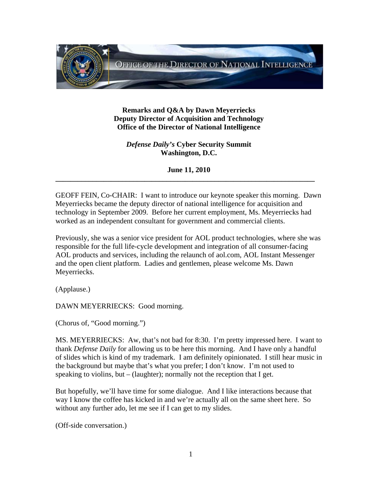

**Remarks and Q&A by Dawn Meyerriecks Deputy Director of Acquisition and Technology Office of the Director of National Intelligence** 

*Defense Daily's* **Cyber Security Summit Washington, D.C.** 

**June 11, 2010 \_\_\_\_\_\_\_\_\_\_\_\_\_\_\_\_\_\_\_\_\_\_\_\_\_\_\_\_\_\_\_\_\_\_\_\_\_\_\_\_\_\_\_\_\_\_\_\_\_\_\_\_\_\_\_\_\_\_\_\_\_\_\_\_\_\_\_\_\_\_** 

GEOFF FEIN, Co-CHAIR: I want to introduce our keynote speaker this morning. Dawn Meyerriecks became the deputy director of national intelligence for acquisition and technology in September 2009. Before her current employment, Ms. Meyerriecks had worked as an independent consultant for government and commercial clients.

Previously, she was a senior vice president for AOL product technologies, where she was responsible for the full life-cycle development and integration of all consumer-facing AOL products and services, including the relaunch of aol.com, AOL Instant Messenger and the open client platform. Ladies and gentlemen, please welcome Ms. Dawn Meyerriecks.

(Applause.)

DAWN MEYERRIECKS: Good morning.

(Chorus of, "Good morning.")

MS. MEYERRIECKS: Aw, that's not bad for 8:30. I'm pretty impressed here. I want to thank *Defense Daily* for allowing us to be here this morning. And I have only a handful of slides which is kind of my trademark. I am definitely opinionated. I still hear music in the background but maybe that's what you prefer; I don't know. I'm not used to speaking to violins, but – (laughter); normally not the reception that I get.

But hopefully, we'll have time for some dialogue. And I like interactions because that way I know the coffee has kicked in and we're actually all on the same sheet here. So without any further ado, let me see if I can get to my slides.

(Off-side conversation.)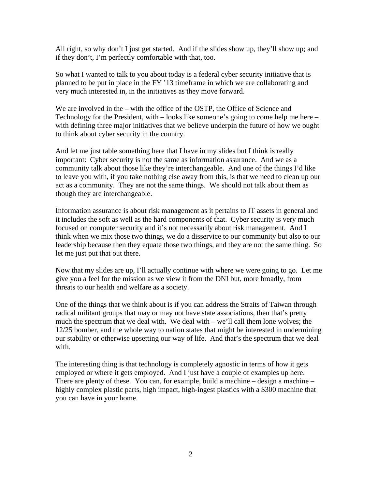All right, so why don't I just get started. And if the slides show up, they'll show up; and if they don't, I'm perfectly comfortable with that, too.

So what I wanted to talk to you about today is a federal cyber security initiative that is planned to be put in place in the FY '13 timeframe in which we are collaborating and very much interested in, in the initiatives as they move forward.

We are involved in the – with the office of the OSTP, the Office of Science and Technology for the President, with – looks like someone's going to come help me here – with defining three major initiatives that we believe underpin the future of how we ought to think about cyber security in the country.

And let me just table something here that I have in my slides but I think is really important: Cyber security is not the same as information assurance. And we as a community talk about those like they're interchangeable. And one of the things I'd like to leave you with, if you take nothing else away from this, is that we need to clean up our act as a community. They are not the same things. We should not talk about them as though they are interchangeable.

Information assurance is about risk management as it pertains to IT assets in general and it includes the soft as well as the hard components of that. Cyber security is very much focused on computer security and it's not necessarily about risk management. And I think when we mix those two things, we do a disservice to our community but also to our leadership because then they equate those two things, and they are not the same thing. So let me just put that out there.

Now that my slides are up, I'll actually continue with where we were going to go. Let me give you a feel for the mission as we view it from the DNI but, more broadly, from threats to our health and welfare as a society.

One of the things that we think about is if you can address the Straits of Taiwan through radical militant groups that may or may not have state associations, then that's pretty much the spectrum that we deal with. We deal with – we'll call them lone wolves; the 12/25 bomber, and the whole way to nation states that might be interested in undermining our stability or otherwise upsetting our way of life. And that's the spectrum that we deal with.

The interesting thing is that technology is completely agnostic in terms of how it gets employed or where it gets employed. And I just have a couple of examples up here. There are plenty of these. You can, for example, build a machine – design a machine – highly complex plastic parts, high impact, high-ingest plastics with a \$300 machine that you can have in your home.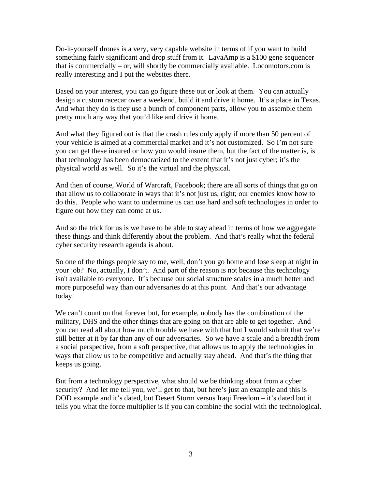Do-it-yourself drones is a very, very capable website in terms of if you want to build something fairly significant and drop stuff from it. LavaAmp is a \$100 gene sequencer that is commercially – or, will shortly be commercially available. Locomotors.com is really interesting and I put the websites there.

Based on your interest, you can go figure these out or look at them. You can actually design a custom racecar over a weekend, build it and drive it home. It's a place in Texas. And what they do is they use a bunch of component parts, allow you to assemble them pretty much any way that you'd like and drive it home.

And what they figured out is that the crash rules only apply if more than 50 percent of your vehicle is aimed at a commercial market and it's not customized. So I'm not sure you can get these insured or how you would insure them, but the fact of the matter is, is that technology has been democratized to the extent that it's not just cyber; it's the physical world as well. So it's the virtual and the physical.

And then of course, World of Warcraft, Facebook; there are all sorts of things that go on that allow us to collaborate in ways that it's not just us, right; our enemies know how to do this. People who want to undermine us can use hard and soft technologies in order to figure out how they can come at us.

And so the trick for us is we have to be able to stay ahead in terms of how we aggregate these things and think differently about the problem. And that's really what the federal cyber security research agenda is about.

So one of the things people say to me, well, don't you go home and lose sleep at night in your job? No, actually, I don't. And part of the reason is not because this technology isn't available to everyone. It's because our social structure scales in a much better and more purposeful way than our adversaries do at this point. And that's our advantage today.

We can't count on that forever but, for example, nobody has the combination of the military, DHS and the other things that are going on that are able to get together. And you can read all about how much trouble we have with that but I would submit that we're still better at it by far than any of our adversaries. So we have a scale and a breadth from a social perspective, from a soft perspective, that allows us to apply the technologies in ways that allow us to be competitive and actually stay ahead. And that's the thing that keeps us going.

But from a technology perspective, what should we be thinking about from a cyber security? And let me tell you, we'll get to that, but here's just an example and this is DOD example and it's dated, but Desert Storm versus Iraqi Freedom – it's dated but it tells you what the force multiplier is if you can combine the social with the technological.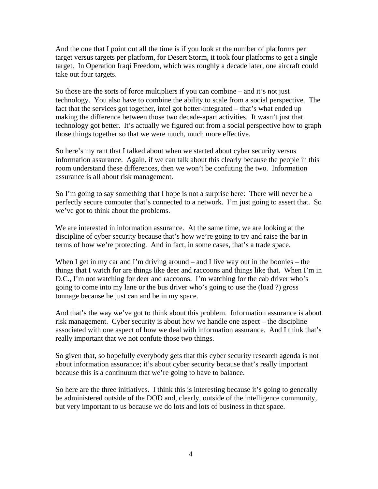And the one that I point out all the time is if you look at the number of platforms per target versus targets per platform, for Desert Storm, it took four platforms to get a single target. In Operation Iraqi Freedom, which was roughly a decade later, one aircraft could take out four targets.

So those are the sorts of force multipliers if you can combine – and it's not just technology. You also have to combine the ability to scale from a social perspective. The fact that the services got together, intel got better-integrated – that's what ended up making the difference between those two decade-apart activities. It wasn't just that technology got better. It's actually we figured out from a social perspective how to graph those things together so that we were much, much more effective.

So here's my rant that I talked about when we started about cyber security versus information assurance. Again, if we can talk about this clearly because the people in this room understand these differences, then we won't be confuting the two. Information assurance is all about risk management.

So I'm going to say something that I hope is not a surprise here: There will never be a perfectly secure computer that's connected to a network. I'm just going to assert that. So we've got to think about the problems.

We are interested in information assurance. At the same time, we are looking at the discipline of cyber security because that's how we're going to try and raise the bar in terms of how we're protecting. And in fact, in some cases, that's a trade space.

When I get in my car and I'm driving around – and I live way out in the boonies – the things that I watch for are things like deer and raccoons and things like that. When I'm in D.C., I'm not watching for deer and raccoons. I'm watching for the cab driver who's going to come into my lane or the bus driver who's going to use the (load ?) gross tonnage because he just can and be in my space.

And that's the way we've got to think about this problem. Information assurance is about risk management. Cyber security is about how we handle one aspect – the discipline associated with one aspect of how we deal with information assurance. And I think that's really important that we not confute those two things.

So given that, so hopefully everybody gets that this cyber security research agenda is not about information assurance; it's about cyber security because that's really important because this is a continuum that we're going to have to balance.

So here are the three initiatives. I think this is interesting because it's going to generally be administered outside of the DOD and, clearly, outside of the intelligence community, but very important to us because we do lots and lots of business in that space.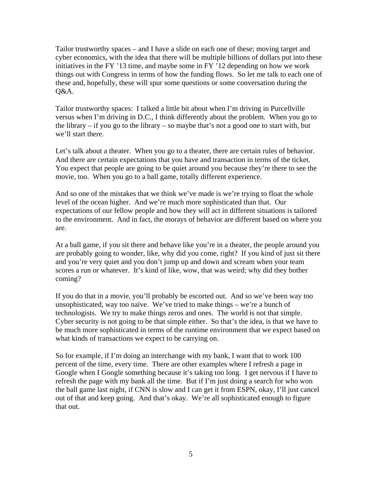Tailor trustworthy spaces – and I have a slide on each one of these; moving target and cyber economics, with the idea that there will be multiple billions of dollars put into these initiatives in the FY '13 time, and maybe some in FY '12 depending on how we work things out with Congress in terms of how the funding flows. So let me talk to each one of these and, hopefully, these will spur some questions or some conversation during the Q&A.

Tailor trustworthy spaces: I talked a little bit about when I'm driving in Purcellville versus when I'm driving in D.C., I think differently about the problem. When you go to the library – if you go to the library – so maybe that's not a good one to start with, but we'll start there.

Let's talk about a theater. When you go to a theater, there are certain rules of behavior. And there are certain expectations that you have and transaction in terms of the ticket. You expect that people are going to be quiet around you because they're there to see the movie, too. When you go to a ball game, totally different experience.

And so one of the mistakes that we think we've made is we're trying to float the whole level of the ocean higher. And we're much more sophisticated than that. Our expectations of our fellow people and how they will act in different situations is tailored to the environment. And in fact, the morays of behavior are different based on where you are.

At a ball game, if you sit there and behave like you're in a theater, the people around you are probably going to wonder, like, why did you come, right? If you kind of just sit there and you're very quiet and you don't jump up and down and scream when your team scores a run or whatever. It's kind of like, wow, that was weird; why did they bother coming?

If you do that in a movie, you'll probably be escorted out. And so we've been way too unsophisticated, way too naïve. We've tried to make things – we're a bunch of technologists. We try to make things zeros and ones. The world is not that simple. Cyber security is not going to be that simple either. So that's the idea, is that we have to be much more sophisticated in terms of the runtime environment that we expect based on what kinds of transactions we expect to be carrying on.

So for example, if I'm doing an interchange with my bank, I want that to work 100 percent of the time, every time. There are other examples where I refresh a page in Google when I Google something because it's taking too long. I get nervous if I have to refresh the page with my bank all the time. But if I'm just doing a search for who won the ball game last night, if CNN is slow and I can get it from ESPN, okay, I'll just cancel out of that and keep going. And that's okay. We're all sophisticated enough to figure that out.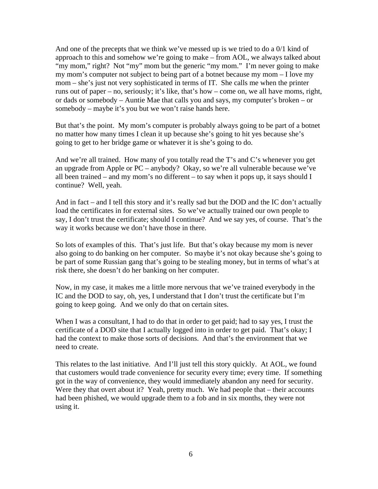And one of the precepts that we think we've messed up is we tried to do a 0/1 kind of approach to this and somehow we're going to make – from AOL, we always talked about "my mom," right? Not "my" mom but the generic "my mom." I'm never going to make my mom's computer not subject to being part of a botnet because my mom – I love my mom – she's just not very sophisticated in terms of IT. She calls me when the printer runs out of paper – no, seriously; it's like, that's how – come on, we all have moms, right, or dads or somebody – Auntie Mae that calls you and says, my computer's broken – or somebody – maybe it's you but we won't raise hands here.

But that's the point. My mom's computer is probably always going to be part of a botnet no matter how many times I clean it up because she's going to hit yes because she's going to get to her bridge game or whatever it is she's going to do.

And we're all trained. How many of you totally read the T's and C's whenever you get an upgrade from Apple or PC – anybody? Okay, so we're all vulnerable because we've all been trained – and my mom's no different – to say when it pops up, it says should I continue? Well, yeah.

And in fact – and I tell this story and it's really sad but the DOD and the IC don't actually load the certificates in for external sites. So we've actually trained our own people to say, I don't trust the certificate; should I continue? And we say yes, of course. That's the way it works because we don't have those in there.

So lots of examples of this. That's just life. But that's okay because my mom is never also going to do banking on her computer. So maybe it's not okay because she's going to be part of some Russian gang that's going to be stealing money, but in terms of what's at risk there, she doesn't do her banking on her computer.

Now, in my case, it makes me a little more nervous that we've trained everybody in the IC and the DOD to say, oh, yes, I understand that I don't trust the certificate but I'm going to keep going. And we only do that on certain sites.

When I was a consultant, I had to do that in order to get paid; had to say yes, I trust the certificate of a DOD site that I actually logged into in order to get paid. That's okay; I had the context to make those sorts of decisions. And that's the environment that we need to create.

This relates to the last initiative. And I'll just tell this story quickly. At AOL, we found that customers would trade convenience for security every time; every time. If something got in the way of convenience, they would immediately abandon any need for security. Were they that overt about it? Yeah, pretty much. We had people that – their accounts had been phished, we would upgrade them to a fob and in six months, they were not using it.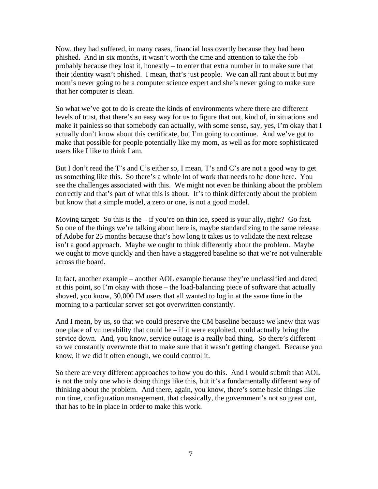Now, they had suffered, in many cases, financial loss overtly because they had been phished. And in six months, it wasn't worth the time and attention to take the fob – probably because they lost it, honestly – to enter that extra number in to make sure that their identity wasn't phished. I mean, that's just people. We can all rant about it but my mom's never going to be a computer science expert and she's never going to make sure that her computer is clean.

So what we've got to do is create the kinds of environments where there are different levels of trust, that there's an easy way for us to figure that out, kind of, in situations and make it painless so that somebody can actually, with some sense, say, yes, I'm okay that I actually don't know about this certificate, but I'm going to continue. And we've got to make that possible for people potentially like my mom, as well as for more sophisticated users like I like to think I am.

But I don't read the T's and C's either so, I mean, T's and C's are not a good way to get us something like this. So there's a whole lot of work that needs to be done here. You see the challenges associated with this. We might not even be thinking about the problem correctly and that's part of what this is about. It's to think differently about the problem but know that a simple model, a zero or one, is not a good model.

Moving target: So this is the  $-i$  f you're on thin ice, speed is your ally, right? Go fast. So one of the things we're talking about here is, maybe standardizing to the same release of Adobe for 25 months because that's how long it takes us to validate the next release isn't a good approach. Maybe we ought to think differently about the problem. Maybe we ought to move quickly and then have a staggered baseline so that we're not vulnerable across the board.

In fact, another example – another AOL example because they're unclassified and dated at this point, so I'm okay with those – the load-balancing piece of software that actually shoved, you know, 30,000 IM users that all wanted to log in at the same time in the morning to a particular server set got overwritten constantly.

And I mean, by us, so that we could preserve the CM baseline because we knew that was one place of vulnerability that could be – if it were exploited, could actually bring the service down. And, you know, service outage is a really bad thing. So there's different – so we constantly overwrote that to make sure that it wasn't getting changed. Because you know, if we did it often enough, we could control it.

So there are very different approaches to how you do this. And I would submit that AOL is not the only one who is doing things like this, but it's a fundamentally different way of thinking about the problem. And there, again, you know, there's some basic things like run time, configuration management, that classically, the government's not so great out, that has to be in place in order to make this work.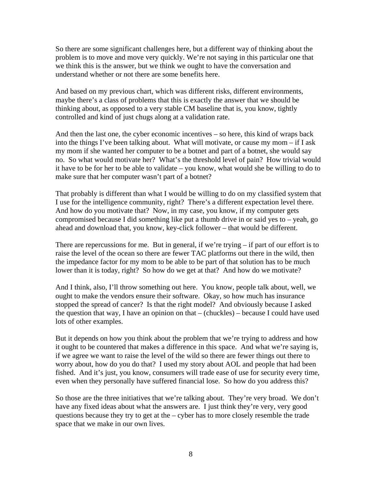So there are some significant challenges here, but a different way of thinking about the problem is to move and move very quickly. We're not saying in this particular one that we think this is the answer, but we think we ought to have the conversation and understand whether or not there are some benefits here.

And based on my previous chart, which was different risks, different environments, maybe there's a class of problems that this is exactly the answer that we should be thinking about, as opposed to a very stable CM baseline that is, you know, tightly controlled and kind of just chugs along at a validation rate.

And then the last one, the cyber economic incentives – so here, this kind of wraps back into the things I've been talking about. What will motivate, or cause my mom – if I ask my mom if she wanted her computer to be a botnet and part of a botnet, she would say no. So what would motivate her? What's the threshold level of pain? How trivial would it have to be for her to be able to validate – you know, what would she be willing to do to make sure that her computer wasn't part of a botnet?

That probably is different than what I would be willing to do on my classified system that I use for the intelligence community, right? There's a different expectation level there. And how do you motivate that? Now, in my case, you know, if my computer gets compromised because I did something like put a thumb drive in or said yes to – yeah, go ahead and download that, you know, key-click follower – that would be different.

There are repercussions for me. But in general, if we're trying  $-$  if part of our effort is to raise the level of the ocean so there are fewer TAC platforms out there in the wild, then the impedance factor for my mom to be able to be part of that solution has to be much lower than it is today, right? So how do we get at that? And how do we motivate?

And I think, also, I'll throw something out here. You know, people talk about, well, we ought to make the vendors ensure their software. Okay, so how much has insurance stopped the spread of cancer? Is that the right model? And obviously because I asked the question that way, I have an opinion on that – (chuckles) – because I could have used lots of other examples.

But it depends on how you think about the problem that we're trying to address and how it ought to be countered that makes a difference in this space. And what we're saying is, if we agree we want to raise the level of the wild so there are fewer things out there to worry about, how do you do that? I used my story about AOL and people that had been fished. And it's just, you know, consumers will trade ease of use for security every time, even when they personally have suffered financial lose. So how do you address this?

So those are the three initiatives that we're talking about. They're very broad. We don't have any fixed ideas about what the answers are. I just think they're very, very good questions because they try to get at the  $-$  cyber has to more closely resemble the trade space that we make in our own lives.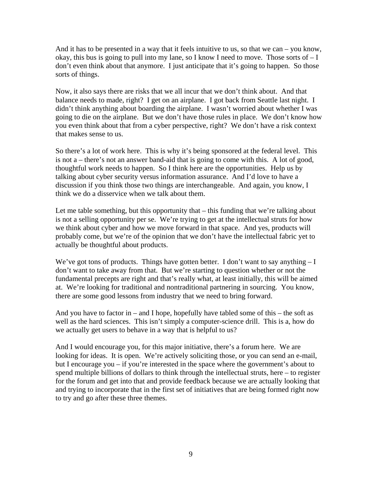And it has to be presented in a way that it feels intuitive to us, so that we can – you know, okay, this bus is going to pull into my lane, so I know I need to move. Those sorts of – I don't even think about that anymore. I just anticipate that it's going to happen. So those sorts of things.

Now, it also says there are risks that we all incur that we don't think about. And that balance needs to made, right? I get on an airplane. I got back from Seattle last night. I didn't think anything about boarding the airplane. I wasn't worried about whether I was going to die on the airplane. But we don't have those rules in place. We don't know how you even think about that from a cyber perspective, right? We don't have a risk context that makes sense to us.

So there's a lot of work here. This is why it's being sponsored at the federal level. This is not a – there's not an answer band-aid that is going to come with this. A lot of good, thoughtful work needs to happen. So I think here are the opportunities. Help us by talking about cyber security versus information assurance. And I'd love to have a discussion if you think those two things are interchangeable. And again, you know, I think we do a disservice when we talk about them.

Let me table something, but this opportunity that – this funding that we're talking about is not a selling opportunity per se. We're trying to get at the intellectual struts for how we think about cyber and how we move forward in that space. And yes, products will probably come, but we're of the opinion that we don't have the intellectual fabric yet to actually be thoughtful about products.

We've got tons of products. Things have gotten better. I don't want to say anything  $-I$ don't want to take away from that. But we're starting to question whether or not the fundamental precepts are right and that's really what, at least initially, this will be aimed at. We're looking for traditional and nontraditional partnering in sourcing. You know, there are some good lessons from industry that we need to bring forward.

And you have to factor in – and I hope, hopefully have tabled some of this – the soft as well as the hard sciences. This isn't simply a computer-science drill. This is a, how do we actually get users to behave in a way that is helpful to us?

And I would encourage you, for this major initiative, there's a forum here. We are looking for ideas. It is open. We're actively soliciting those, or you can send an e-mail, but I encourage you – if you're interested in the space where the government's about to spend multiple billions of dollars to think through the intellectual struts, here – to register for the forum and get into that and provide feedback because we are actually looking that and trying to incorporate that in the first set of initiatives that are being formed right now to try and go after these three themes.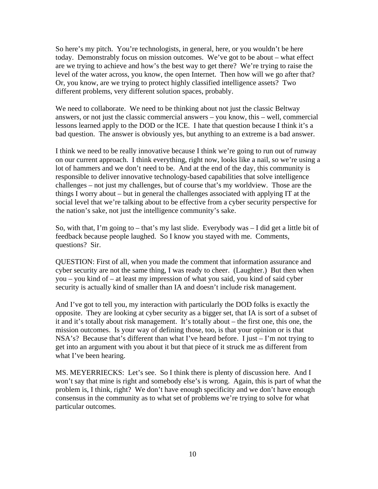So here's my pitch. You're technologists, in general, here, or you wouldn't be here today. Demonstrably focus on mission outcomes. We've got to be about – what effect are we trying to achieve and how's the best way to get there? We're trying to raise the level of the water across, you know, the open Internet. Then how will we go after that? Or, you know, are we trying to protect highly classified intelligence assets? Two different problems, very different solution spaces, probably.

We need to collaborate. We need to be thinking about not just the classic Beltway answers, or not just the classic commercial answers – you know, this – well, commercial lessons learned apply to the DOD or the ICE. I hate that question because I think it's a bad question. The answer is obviously yes, but anything to an extreme is a bad answer.

I think we need to be really innovative because I think we're going to run out of runway on our current approach. I think everything, right now, looks like a nail, so we're using a lot of hammers and we don't need to be. And at the end of the day, this community is responsible to deliver innovative technology-based capabilities that solve intelligence challenges – not just my challenges, but of course that's my worldview. Those are the things I worry about – but in general the challenges associated with applying IT at the social level that we're talking about to be effective from a cyber security perspective for the nation's sake, not just the intelligence community's sake.

So, with that, I'm going to – that's my last slide. Everybody was  $-1$  did get a little bit of feedback because people laughed. So I know you stayed with me. Comments, questions? Sir.

QUESTION: First of all, when you made the comment that information assurance and cyber security are not the same thing, I was ready to cheer. (Laughter.) But then when you – you kind of – at least my impression of what you said, you kind of said cyber security is actually kind of smaller than IA and doesn't include risk management.

And I've got to tell you, my interaction with particularly the DOD folks is exactly the opposite. They are looking at cyber security as a bigger set, that IA is sort of a subset of it and it's totally about risk management. It's totally about – the first one, this one, the mission outcomes. Is your way of defining those, too, is that your opinion or is that NSA's? Because that's different than what I've heard before. I just – I'm not trying to get into an argument with you about it but that piece of it struck me as different from what I've been hearing.

MS. MEYERRIECKS: Let's see. So I think there is plenty of discussion here. And I won't say that mine is right and somebody else's is wrong. Again, this is part of what the problem is, I think, right? We don't have enough specificity and we don't have enough consensus in the community as to what set of problems we're trying to solve for what particular outcomes.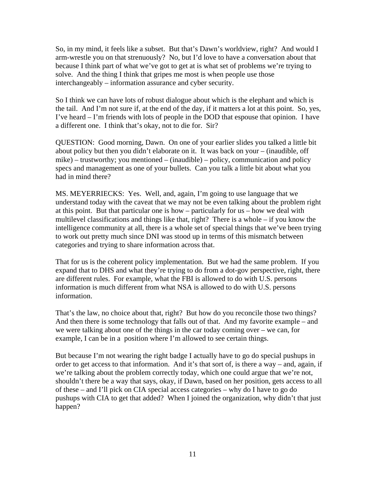So, in my mind, it feels like a subset. But that's Dawn's worldview, right? And would I arm-wrestle you on that strenuously? No, but I'd love to have a conversation about that because I think part of what we've got to get at is what set of problems we're trying to solve. And the thing I think that gripes me most is when people use those interchangeably – information assurance and cyber security.

So I think we can have lots of robust dialogue about which is the elephant and which is the tail. And I'm not sure if, at the end of the day, if it matters a lot at this point. So, yes, I've heard – I'm friends with lots of people in the DOD that espouse that opinion. I have a different one. I think that's okay, not to die for. Sir?

QUESTION: Good morning, Dawn. On one of your earlier slides you talked a little bit about policy but then you didn't elaborate on it. It was back on your – (inaudible, off mike) – trustworthy; you mentioned – (inaudible) – policy, communication and policy specs and management as one of your bullets. Can you talk a little bit about what you had in mind there?

MS. MEYERRIECKS: Yes. Well, and, again, I'm going to use language that we understand today with the caveat that we may not be even talking about the problem right at this point. But that particular one is how – particularly for us – how we deal with multilevel classifications and things like that, right? There is a whole – if you know the intelligence community at all, there is a whole set of special things that we've been trying to work out pretty much since DNI was stood up in terms of this mismatch between categories and trying to share information across that.

That for us is the coherent policy implementation. But we had the same problem. If you expand that to DHS and what they're trying to do from a dot-gov perspective, right, there are different rules. For example, what the FBI is allowed to do with U.S. persons information is much different from what NSA is allowed to do with U.S. persons information.

That's the law, no choice about that, right? But how do you reconcile those two things? And then there is some technology that falls out of that. And my favorite example – and we were talking about one of the things in the car today coming over – we can, for example, I can be in a position where I'm allowed to see certain things.

But because I'm not wearing the right badge I actually have to go do special pushups in order to get access to that information. And it's that sort of, is there a way – and, again, if we're talking about the problem correctly today, which one could argue that we're not, shouldn't there be a way that says, okay, if Dawn, based on her position, gets access to all of these – and I'll pick on CIA special access categories – why do I have to go do pushups with CIA to get that added? When I joined the organization, why didn't that just happen?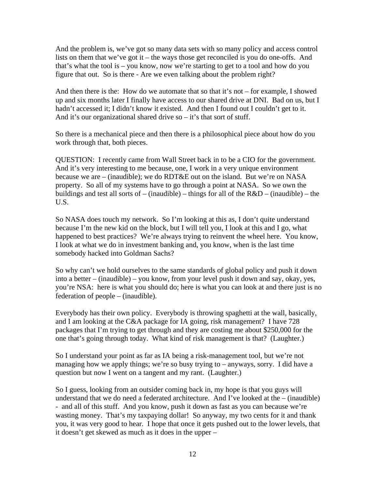And the problem is, we've got so many data sets with so many policy and access control lists on them that we've got it – the ways those get reconciled is you do one-offs. And that's what the tool is – you know, now we're starting to get to a tool and how do you figure that out. So is there - Are we even talking about the problem right?

And then there is the: How do we automate that so that it's not – for example, I showed up and six months later I finally have access to our shared drive at DNI. Bad on us, but I hadn't accessed it; I didn't know it existed. And then I found out I couldn't get to it. And it's our organizational shared drive  $so - it$ 's that sort of stuff.

So there is a mechanical piece and then there is a philosophical piece about how do you work through that, both pieces.

QUESTION: I recently came from Wall Street back in to be a CIO for the government. And it's very interesting to me because, one, I work in a very unique environment because we are – (inaudible); we do RDT&E out on the island. But we're on NASA property. So all of my systems have to go through a point at NASA. So we own the buildings and test all sorts of – (inaudible) – things for all of the  $R&D$  – (inaudible) – the U.S.

So NASA does touch my network. So I'm looking at this as, I don't quite understand because I'm the new kid on the block, but I will tell you, I look at this and I go, what happened to best practices? We're always trying to reinvent the wheel here. You know, I look at what we do in investment banking and, you know, when is the last time somebody hacked into Goldman Sachs?

So why can't we hold ourselves to the same standards of global policy and push it down into a better – (inaudible) – you know, from your level push it down and say, okay, yes, you're NSA: here is what you should do; here is what you can look at and there just is no federation of people – (inaudible).

Everybody has their own policy. Everybody is throwing spaghetti at the wall, basically, and I am looking at the C&A package for IA going, risk management? I have 728 packages that I'm trying to get through and they are costing me about \$250,000 for the one that's going through today. What kind of risk management is that? (Laughter.)

So I understand your point as far as IA being a risk-management tool, but we're not managing how we apply things; we're so busy trying to – anyways, sorry. I did have a question but now I went on a tangent and my rant. (Laughter.)

So I guess, looking from an outsider coming back in, my hope is that you guys will understand that we do need a federated architecture. And I've looked at the – (inaudible) - and all of this stuff. And you know, push it down as fast as you can because we're wasting money. That's my taxpaying dollar! So anyway, my two cents for it and thank you, it was very good to hear. I hope that once it gets pushed out to the lower levels, that it doesn't get skewed as much as it does in the upper –